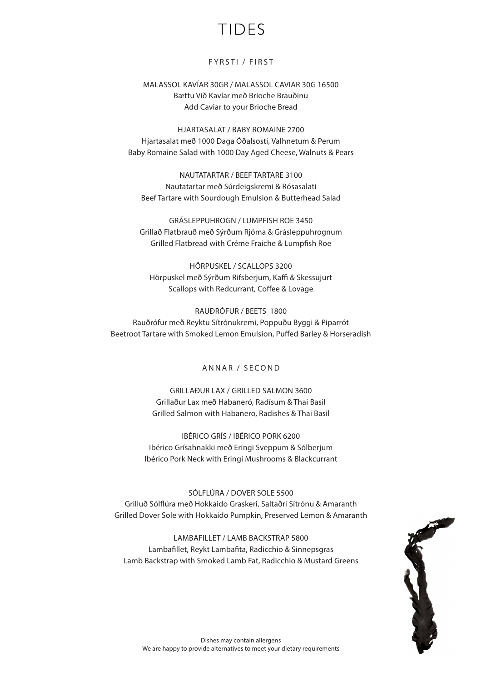# TIDES

### FYRSTI / FIRST

MALASSOL KAVÍAR 30GR / MALASSOL CAVIAR 30G 16500 Bættu Við Kavíar með Brioche Brauðinu Add Caviar to your Brioche Bread

HJARTASALAT / BABY ROMAINE 2700 Hjartasalat með 1000 Daga Óðalsosti, Valhnetum & Perum Baby Romaine Salad with 1000 Day Aged Cheese, Walnuts & Pears

NAUTATARTAR / BEEF TARTARE 3100 Nautatartar með Súrdeigskremi & Rósasalati Beef Tartare with Sourdough Emulsion & Butterhead Salad

GRÁSLEPPUHROGN / LUMPFISH ROE 3450 Grillað Flatbrauð með Sýrðum Rjóma & Grásleppuhrognum Grilled Flatbread with Créme Fraiche & Lumpfish Roe

HÖRPUSKEL / SCALLOPS 3200 Hörpuskel með Sýrðum Rifsberjum, Kaffi & Skessujurt Scallops with Redcurrant, Coffee & Lovage

RAUÐRÓFUR / BEETS 1800 Rauðrófur með Reyktu Sítrónukremi, Poppuðu Byggi & Piparrót Beetroot Tartare with Smoked Lemon Emulsion, Puffed Barley & Horseradish

### ANNAR / SECOND

GRILLAÐUR LAX / GRILLED SALMON 3600 Grillaður Lax með Habaneró, Radísum & Thai Basil Grilled Salmon with Habanero, Radishes & Thai Basil

IBÉRICO GRÍS / IBÉRICO PORK 6200 Ibérico Grísahnakki með Eringi Sveppum & Sólberjum Ibérico Pork Neck with Eringi Mushrooms & Blackcurrant

SÓLFLÚRA / DOVER SOLE 5500 Grilluð Sólflúra með Hokkaido Graskeri, Saltaðri Sítrónu & Amaranth Grilled Dover Sole with Hokkaido Pumpkin, Preserved Lemon & Amaranth

LAMBAFILLET / LAMB BACKSTRAP 5800 Lambafillet, Reykt Lambafita, Radicchio & Sinnepsgras Lamb Backstrap with Smoked Lamb Fat, Radicchio & Mustard Greens